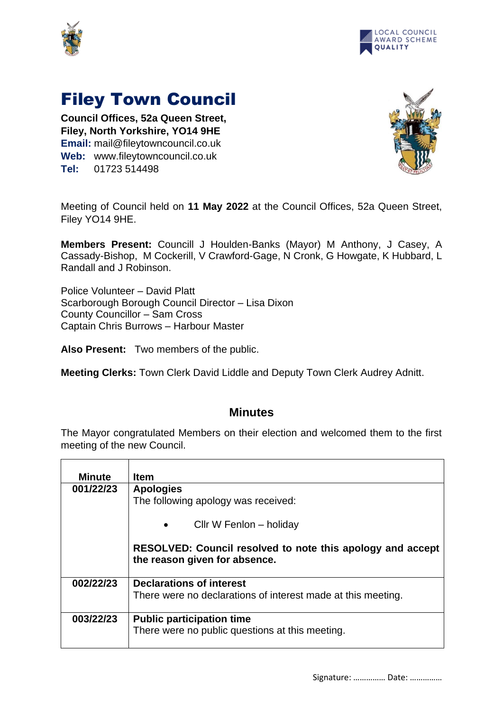



## Filey Town Council

**Council Offices, 52a Queen Street, Filey, North Yorkshire, YO14 9HE Email:** mail@fileytowncouncil.co.uk **Web:** www.fileytowncouncil.co.uk **Tel:** 01723 514498



Meeting of Council held on **11 May 2022** at the Council Offices, 52a Queen Street, Filey YO14 9HE.

**Members Present:** Councill J Houlden-Banks (Mayor) M Anthony, J Casey, A Cassady-Bishop, M Cockerill, V Crawford-Gage, N Cronk, G Howgate, K Hubbard, L Randall and J Robinson.

Police Volunteer – David Platt Scarborough Borough Council Director – Lisa Dixon County Councillor – Sam Cross Captain Chris Burrows – Harbour Master

**Also Present:** Two members of the public.

**Meeting Clerks:** Town Clerk David Liddle and Deputy Town Clerk Audrey Adnitt.

## **Minutes**

The Mayor congratulated Members on their election and welcomed them to the first meeting of the new Council.

| Minute    | <b>Item</b>                                                                                        |  |
|-----------|----------------------------------------------------------------------------------------------------|--|
| 001/22/23 | <b>Apologies</b>                                                                                   |  |
|           | The following apology was received:                                                                |  |
|           | Cllr W Fenlon – holiday<br>$\bullet$                                                               |  |
|           | <b>RESOLVED: Council resolved to note this apology and accept</b><br>the reason given for absence. |  |
| 002/22/23 | <b>Declarations of interest</b>                                                                    |  |
|           | There were no declarations of interest made at this meeting.                                       |  |
| 003/22/23 | <b>Public participation time</b>                                                                   |  |
|           | There were no public questions at this meeting.                                                    |  |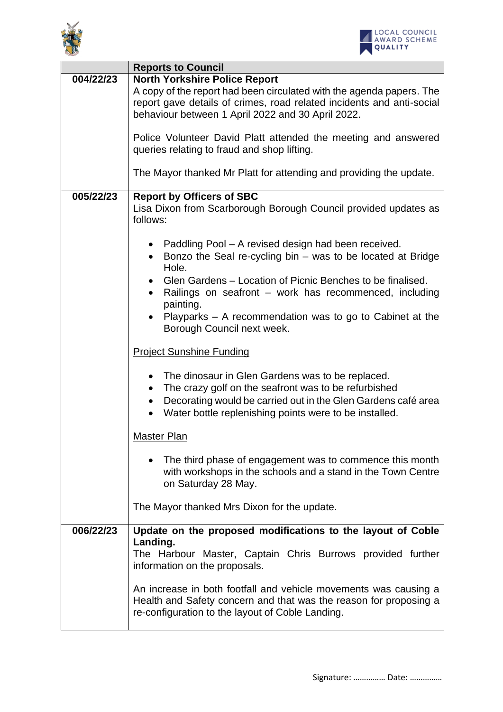



|           | <b>Reports to Council</b>                                                                                                                                                                                                                                                                                                                                   |
|-----------|-------------------------------------------------------------------------------------------------------------------------------------------------------------------------------------------------------------------------------------------------------------------------------------------------------------------------------------------------------------|
| 004/22/23 | <b>North Yorkshire Police Report</b><br>A copy of the report had been circulated with the agenda papers. The<br>report gave details of crimes, road related incidents and anti-social<br>behaviour between 1 April 2022 and 30 April 2022.<br>Police Volunteer David Platt attended the meeting and answered<br>queries relating to fraud and shop lifting. |
|           | The Mayor thanked Mr Platt for attending and providing the update.                                                                                                                                                                                                                                                                                          |
| 005/22/23 | <b>Report by Officers of SBC</b><br>Lisa Dixon from Scarborough Borough Council provided updates as<br>follows:                                                                                                                                                                                                                                             |
|           | • Paddling Pool - A revised design had been received.<br>Bonzo the Seal re-cycling bin $-$ was to be located at Bridge                                                                                                                                                                                                                                      |
|           | Hole.                                                                                                                                                                                                                                                                                                                                                       |
|           | Glen Gardens – Location of Picnic Benches to be finalised.<br>Railings on seafront – work has recommenced, including<br>painting.                                                                                                                                                                                                                           |
|           | Playparks - A recommendation was to go to Cabinet at the<br>Borough Council next week.                                                                                                                                                                                                                                                                      |
|           | <b>Project Sunshine Funding</b>                                                                                                                                                                                                                                                                                                                             |
|           | The dinosaur in Glen Gardens was to be replaced.<br>$\bullet$<br>The crazy golf on the seafront was to be refurbished<br>$\bullet$<br>Decorating would be carried out in the Glen Gardens café area<br>Water bottle replenishing points were to be installed.                                                                                               |
|           | <b>Master Plan</b>                                                                                                                                                                                                                                                                                                                                          |
|           | The third phase of engagement was to commence this month<br>with workshops in the schools and a stand in the Town Centre<br>on Saturday 28 May.                                                                                                                                                                                                             |
|           | The Mayor thanked Mrs Dixon for the update.                                                                                                                                                                                                                                                                                                                 |
| 006/22/23 | Update on the proposed modifications to the layout of Coble<br>Landing.                                                                                                                                                                                                                                                                                     |
|           | The Harbour Master, Captain Chris Burrows provided further<br>information on the proposals.                                                                                                                                                                                                                                                                 |
|           | An increase in both footfall and vehicle movements was causing a<br>Health and Safety concern and that was the reason for proposing a<br>re-configuration to the layout of Coble Landing.                                                                                                                                                                   |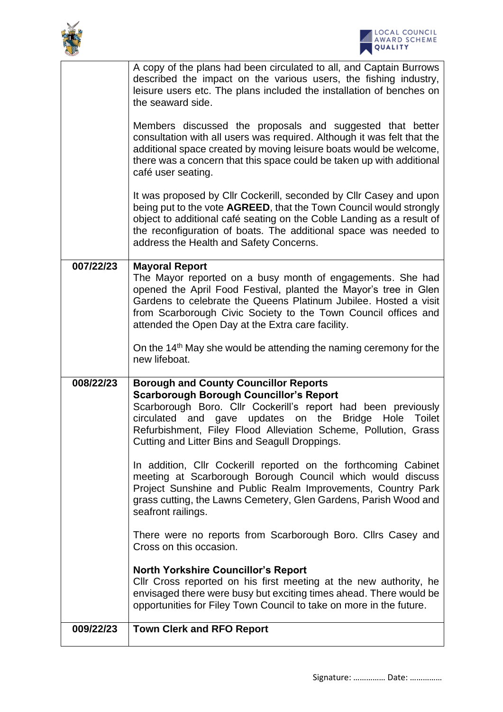



|           | A copy of the plans had been circulated to all, and Captain Burrows<br>described the impact on the various users, the fishing industry,<br>leisure users etc. The plans included the installation of benches on<br>the seaward side.                                                                                                                                       |
|-----------|----------------------------------------------------------------------------------------------------------------------------------------------------------------------------------------------------------------------------------------------------------------------------------------------------------------------------------------------------------------------------|
|           | Members discussed the proposals and suggested that better<br>consultation with all users was required. Although it was felt that the<br>additional space created by moving leisure boats would be welcome,<br>there was a concern that this space could be taken up with additional<br>café user seating.                                                                  |
|           | It was proposed by Cllr Cockerill, seconded by Cllr Casey and upon<br>being put to the vote AGREED, that the Town Council would strongly<br>object to additional café seating on the Coble Landing as a result of<br>the reconfiguration of boats. The additional space was needed to<br>address the Health and Safety Concerns.                                           |
| 007/22/23 | <b>Mayoral Report</b><br>The Mayor reported on a busy month of engagements. She had<br>opened the April Food Festival, planted the Mayor's tree in Glen<br>Gardens to celebrate the Queens Platinum Jubilee. Hosted a visit<br>from Scarborough Civic Society to the Town Council offices and<br>attended the Open Day at the Extra care facility.                         |
|           | On the 14 <sup>th</sup> May she would be attending the naming ceremony for the<br>new lifeboat.                                                                                                                                                                                                                                                                            |
| 008/22/23 | <b>Borough and County Councillor Reports</b><br><b>Scarborough Borough Councillor's Report</b><br>Scarborough Boro. Cllr Cockerill's report had been previously<br>circulated and gave<br>updates on<br>the<br><b>Bridge</b><br>Hole<br><b>Toilet</b><br>Refurbishment, Filey Flood Alleviation Scheme, Pollution, Grass<br>Cutting and Litter Bins and Seagull Droppings. |
|           | In addition, ClIr Cockerill reported on the forthcoming Cabinet<br>meeting at Scarborough Borough Council which would discuss<br>Project Sunshine and Public Realm Improvements, Country Park<br>grass cutting, the Lawns Cemetery, Glen Gardens, Parish Wood and<br>seafront railings.                                                                                    |
|           | There were no reports from Scarborough Boro. Clirs Casey and<br>Cross on this occasion.                                                                                                                                                                                                                                                                                    |
|           | <b>North Yorkshire Councillor's Report</b><br>CIIr Cross reported on his first meeting at the new authority, he<br>envisaged there were busy but exciting times ahead. There would be<br>opportunities for Filey Town Council to take on more in the future.                                                                                                               |
| 009/22/23 | <b>Town Clerk and RFO Report</b>                                                                                                                                                                                                                                                                                                                                           |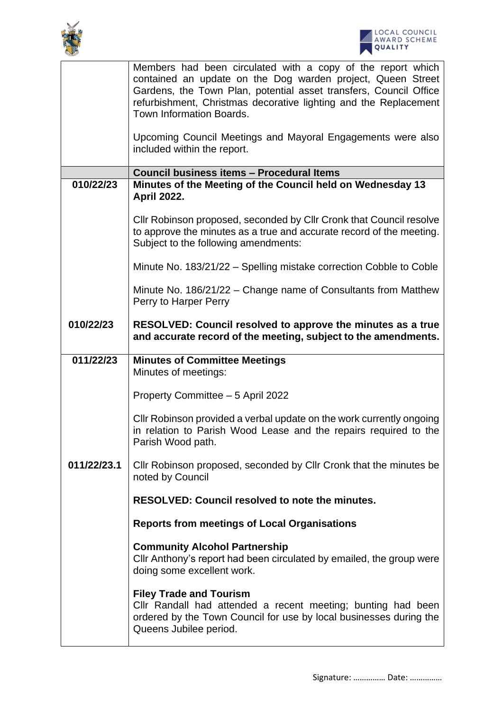



|             | Members had been circulated with a copy of the report which<br>contained an update on the Dog warden project, Queen Street<br>Gardens, the Town Plan, potential asset transfers, Council Office |
|-------------|-------------------------------------------------------------------------------------------------------------------------------------------------------------------------------------------------|
|             | refurbishment, Christmas decorative lighting and the Replacement<br>Town Information Boards.                                                                                                    |
|             | Upcoming Council Meetings and Mayoral Engagements were also<br>included within the report.                                                                                                      |
|             | Council business items - Procedural Items                                                                                                                                                       |
| 010/22/23   | Minutes of the Meeting of the Council held on Wednesday 13<br><b>April 2022.</b>                                                                                                                |
|             | Cllr Robinson proposed, seconded by Cllr Cronk that Council resolve<br>to approve the minutes as a true and accurate record of the meeting.<br>Subject to the following amendments:             |
|             | Minute No. 183/21/22 - Spelling mistake correction Cobble to Coble                                                                                                                              |
|             | Minute No. 186/21/22 - Change name of Consultants from Matthew<br>Perry to Harper Perry                                                                                                         |
| 010/22/23   | RESOLVED: Council resolved to approve the minutes as a true<br>and accurate record of the meeting, subject to the amendments.                                                                   |
| 011/22/23   | <b>Minutes of Committee Meetings</b>                                                                                                                                                            |
|             | Minutes of meetings:                                                                                                                                                                            |
|             | Property Committee - 5 April 2022                                                                                                                                                               |
|             | CIIr Robinson provided a verbal update on the work currently ongoing<br>in relation to Parish Wood Lease and the repairs required to the<br>Parish Wood path.                                   |
| 011/22/23.1 | Cllr Robinson proposed, seconded by Cllr Cronk that the minutes be<br>noted by Council                                                                                                          |
|             | <b>RESOLVED: Council resolved to note the minutes.</b>                                                                                                                                          |
|             | <b>Reports from meetings of Local Organisations</b>                                                                                                                                             |
|             | <b>Community Alcohol Partnership</b><br>Cllr Anthony's report had been circulated by emailed, the group were<br>doing some excellent work.                                                      |
|             | <b>Filey Trade and Tourism</b><br>Cllr Randall had attended a recent meeting; bunting had been<br>ordered by the Town Council for use by local businesses during the<br>Queens Jubilee period.  |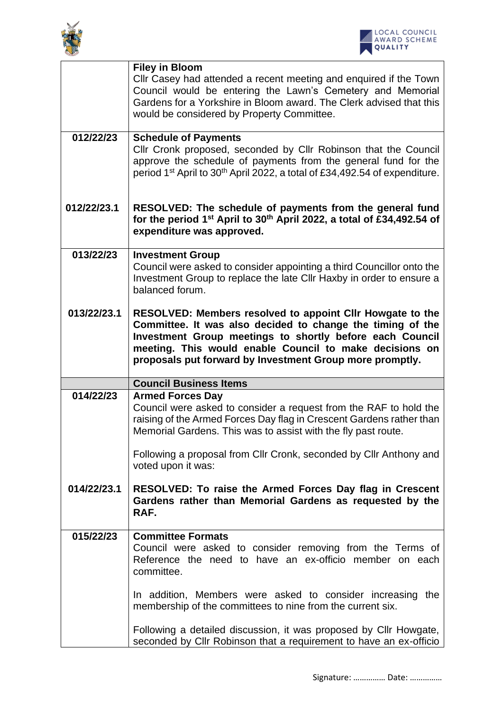



|             | <b>Filey in Bloom</b><br>Cllr Casey had attended a recent meeting and enquired if the Town<br>Council would be entering the Lawn's Cemetery and Memorial<br>Gardens for a Yorkshire in Bloom award. The Clerk advised that this<br>would be considered by Property Committee.                              |
|-------------|------------------------------------------------------------------------------------------------------------------------------------------------------------------------------------------------------------------------------------------------------------------------------------------------------------|
| 012/22/23   | <b>Schedule of Payments</b><br>Cllr Cronk proposed, seconded by Cllr Robinson that the Council<br>approve the schedule of payments from the general fund for the<br>period 1 <sup>st</sup> April to 30 <sup>th</sup> April 2022, a total of £34,492.54 of expenditure.                                     |
| 012/22/23.1 | RESOLVED: The schedule of payments from the general fund<br>for the period 1 <sup>st</sup> April to 30 <sup>th</sup> April 2022, a total of £34,492.54 of<br>expenditure was approved.                                                                                                                     |
| 013/22/23   | <b>Investment Group</b><br>Council were asked to consider appointing a third Councillor onto the<br>Investment Group to replace the late Cllr Haxby in order to ensure a<br>balanced forum.                                                                                                                |
| 013/22/23.1 | RESOLVED: Members resolved to appoint Cllr Howgate to the<br>Committee. It was also decided to change the timing of the<br>Investment Group meetings to shortly before each Council<br>meeting. This would enable Council to make decisions on<br>proposals put forward by Investment Group more promptly. |
|             | <b>Council Business Items</b>                                                                                                                                                                                                                                                                              |
| 014/22/23   | <b>Armed Forces Day</b><br>Council were asked to consider a request from the RAF to hold the<br>raising of the Armed Forces Day flag in Crescent Gardens rather than                                                                                                                                       |
|             | Memorial Gardens. This was to assist with the fly past route.                                                                                                                                                                                                                                              |
|             | Following a proposal from Cllr Cronk, seconded by Cllr Anthony and<br>voted upon it was:                                                                                                                                                                                                                   |
| 014/22/23.1 | RESOLVED: To raise the Armed Forces Day flag in Crescent<br>Gardens rather than Memorial Gardens as requested by the<br>RAF.                                                                                                                                                                               |
| 015/22/23   | <b>Committee Formats</b><br>Council were asked to consider removing from the Terms of<br>Reference the need to have an ex-officio member on each<br>committee.                                                                                                                                             |
|             | In addition, Members were asked to consider increasing the<br>membership of the committees to nine from the current six.                                                                                                                                                                                   |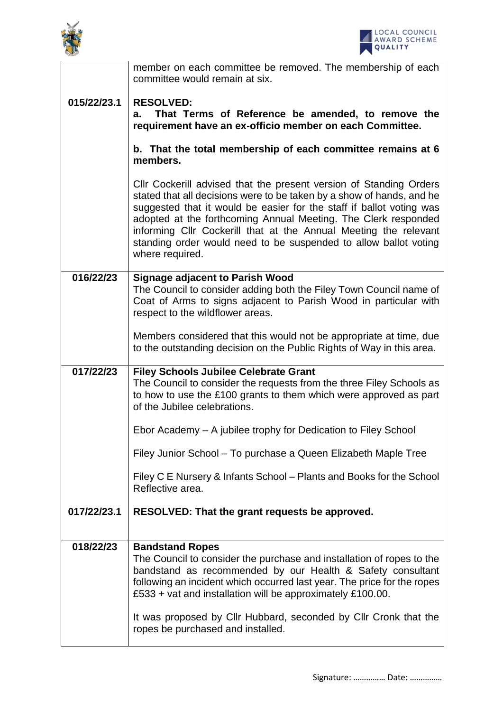



|             | member on each committee be removed. The membership of each<br>committee would remain at six.                                                                                                                                                                                                                                                                                                                                                    |
|-------------|--------------------------------------------------------------------------------------------------------------------------------------------------------------------------------------------------------------------------------------------------------------------------------------------------------------------------------------------------------------------------------------------------------------------------------------------------|
| 015/22/23.1 | <b>RESOLVED:</b><br>That Terms of Reference be amended, to remove the<br>a.<br>requirement have an ex-officio member on each Committee.                                                                                                                                                                                                                                                                                                          |
|             | b. That the total membership of each committee remains at 6<br>members.                                                                                                                                                                                                                                                                                                                                                                          |
|             | CIIr Cockerill advised that the present version of Standing Orders<br>stated that all decisions were to be taken by a show of hands, and he<br>suggested that it would be easier for the staff if ballot voting was<br>adopted at the forthcoming Annual Meeting. The Clerk responded<br>informing Cllr Cockerill that at the Annual Meeting the relevant<br>standing order would need to be suspended to allow ballot voting<br>where required. |
| 016/22/23   | <b>Signage adjacent to Parish Wood</b><br>The Council to consider adding both the Filey Town Council name of                                                                                                                                                                                                                                                                                                                                     |
|             | Coat of Arms to signs adjacent to Parish Wood in particular with<br>respect to the wildflower areas.                                                                                                                                                                                                                                                                                                                                             |
|             | Members considered that this would not be appropriate at time, due<br>to the outstanding decision on the Public Rights of Way in this area.                                                                                                                                                                                                                                                                                                      |
| 017/22/23   | <b>Filey Schools Jubilee Celebrate Grant</b><br>The Council to consider the requests from the three Filey Schools as<br>to how to use the £100 grants to them which were approved as part                                                                                                                                                                                                                                                        |
|             | of the Jubilee celebrations.                                                                                                                                                                                                                                                                                                                                                                                                                     |
|             | Ebor Academy - A jubilee trophy for Dedication to Filey School                                                                                                                                                                                                                                                                                                                                                                                   |
|             | Filey Junior School – To purchase a Queen Elizabeth Maple Tree                                                                                                                                                                                                                                                                                                                                                                                   |
|             | Filey C E Nursery & Infants School – Plants and Books for the School<br>Reflective area.                                                                                                                                                                                                                                                                                                                                                         |
| 017/22/23.1 | RESOLVED: That the grant requests be approved.                                                                                                                                                                                                                                                                                                                                                                                                   |
| 018/22/23   | <b>Bandstand Ropes</b>                                                                                                                                                                                                                                                                                                                                                                                                                           |
|             | The Council to consider the purchase and installation of ropes to the<br>bandstand as recommended by our Health & Safety consultant<br>following an incident which occurred last year. The price for the ropes<br>£533 + vat and installation will be approximately £100.00.                                                                                                                                                                     |